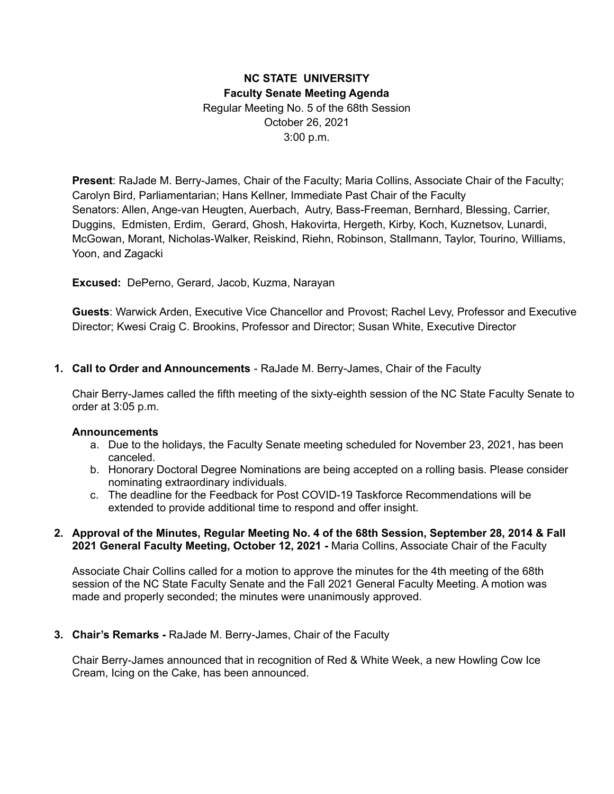# **NC STATE UNIVERSITY Faculty Senate Meeting Agenda** Regular Meeting No. 5 of the 68th Session October 26, 2021 3:00 p.m.

**Present**: RaJade M. Berry-James, Chair of the Faculty; Maria Collins, Associate Chair of the Faculty; Carolyn Bird, Parliamentarian; Hans Kellner, Immediate Past Chair of the Faculty Senators: Allen, Ange-van Heugten, Auerbach, Autry, Bass-Freeman, Bernhard, Blessing, Carrier, Duggins, Edmisten, Erdim, Gerard, Ghosh, Hakovirta, Hergeth, Kirby, Koch, Kuznetsov, Lunardi, McGowan, Morant, Nicholas-Walker, Reiskind, Riehn, Robinson, Stallmann, Taylor, Tourino, Williams, Yoon, and Zagacki

**Excused:** DePerno, Gerard, Jacob, Kuzma, Narayan

**Guests**: Warwick Arden, Executive Vice Chancellor and Provost; Rachel Levy, Professor and Executive Director; Kwesi Craig C. Brookins, Professor and Director; Susan White, Executive Director

#### **1. Call to Order and Announcements** - RaJade M. Berry-James, Chair of the Faculty

Chair Berry-James called the fifth meeting of the sixty-eighth session of the NC State Faculty Senate to order at 3:05 p.m.

#### **Announcements**

- a. Due to the holidays, the Faculty Senate meeting scheduled for November 23, 2021, has been canceled.
- b. Honorary Doctoral Degree Nominations are being accepted on a rolling basis. Please consider nominating extraordinary individuals.
- c. The deadline for the Feedback for Post COVID-19 Taskforce Recommendations will be extended to provide additional time to respond and offer insight.

#### **2. Approval of the Minutes, Regular Meeting No. 4 of the 68th Session, September 28, 2014 & Fall 2021 General Faculty Meeting, October 12, 2021 -** Maria Collins, Associate Chair of the Faculty

Associate Chair Collins called for a motion to approve the minutes for the 4th meeting of the 68th session of the NC State Faculty Senate and the Fall 2021 General Faculty Meeting. A motion was made and properly seconded; the minutes were unanimously approved.

#### **3. Chair's Remarks -** RaJade M. Berry-James, Chair of the Faculty

Chair Berry-James announced that in recognition of Red & White Week, a new Howling Cow Ice Cream, Icing on the Cake, has been announced.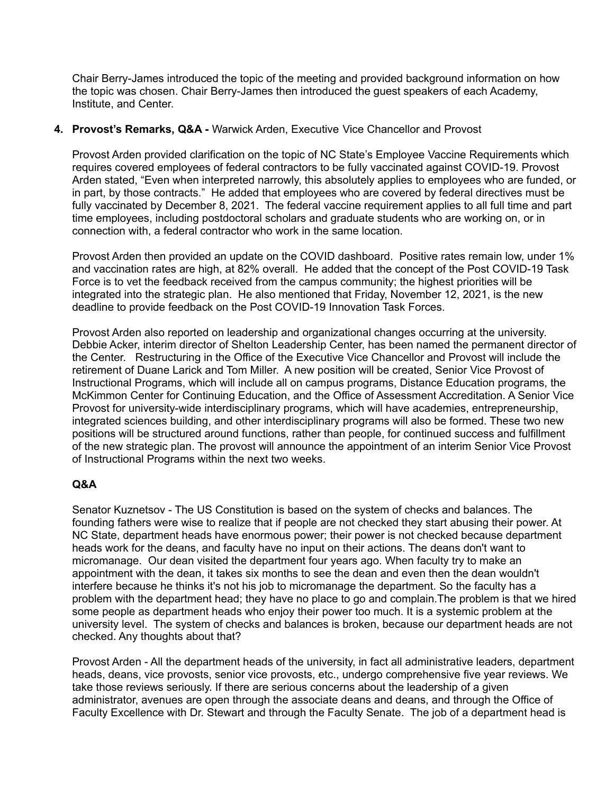Chair Berry-James introduced the topic of the meeting and provided background information on how the topic was chosen. Chair Berry-James then introduced the guest speakers of each Academy, Institute, and Center.

### **4. Provost's Remarks, Q&A -** Warwick Arden, Executive Vice Chancellor and Provost

Provost Arden provided clarification on the topic of NC State's Employee Vaccine Requirements which requires covered employees of federal contractors to be fully vaccinated against COVID-19. Provost Arden stated, "Even when interpreted narrowly, this absolutely applies to employees who are funded, or in part, by those contracts." He added that employees who are covered by federal directives must be fully vaccinated by December 8, 2021. The federal vaccine requirement applies to all full time and part time employees, including postdoctoral scholars and graduate students who are working on, or in connection with, a federal contractor who work in the same location.

Provost Arden then provided an update on the COVID dashboard. Positive rates remain low, under 1% and vaccination rates are high, at 82% overall. He added that the concept of the Post COVID-19 Task Force is to vet the feedback received from the campus community; the highest priorities will be integrated into the strategic plan. He also mentioned that Friday, November 12, 2021, is the new deadline to provide feedback on the Post COVID-19 Innovation Task Forces.

Provost Arden also reported on leadership and organizational changes occurring at the university. Debbie Acker, interim director of Shelton Leadership Center, has been named the permanent director of the Center. Restructuring in the Office of the Executive Vice Chancellor and Provost will include the retirement of Duane Larick and Tom Miller. A new position will be created, Senior Vice Provost of Instructional Programs, which will include all on campus programs, Distance Education programs, the McKimmon Center for Continuing Education, and the Office of Assessment Accreditation. A Senior Vice Provost for university-wide interdisciplinary programs, which will have academies, entrepreneurship, integrated sciences building, and other interdisciplinary programs will also be formed. These two new positions will be structured around functions, rather than people, for continued success and fulfillment of the new strategic plan. The provost will announce the appointment of an interim Senior Vice Provost of Instructional Programs within the next two weeks.

## **Q&A**

Senator Kuznetsov - The US Constitution is based on the system of checks and balances. The founding fathers were wise to realize that if people are not checked they start abusing their power. At NC State, department heads have enormous power; their power is not checked because department heads work for the deans, and faculty have no input on their actions. The deans don't want to micromanage. Our dean visited the department four years ago. When faculty try to make an appointment with the dean, it takes six months to see the dean and even then the dean wouldn't interfere because he thinks it's not his job to micromanage the department. So the faculty has a problem with the department head; they have no place to go and complain.The problem is that we hired some people as department heads who enjoy their power too much. It is a systemic problem at the university level. The system of checks and balances is broken, because our department heads are not checked. Any thoughts about that?

Provost Arden - All the department heads of the university, in fact all administrative leaders, department heads, deans, vice provosts, senior vice provosts, etc., undergo comprehensive five year reviews. We take those reviews seriously. If there are serious concerns about the leadership of a given administrator, avenues are open through the associate deans and deans, and through the Office of Faculty Excellence with Dr. Stewart and through the Faculty Senate. The job of a department head is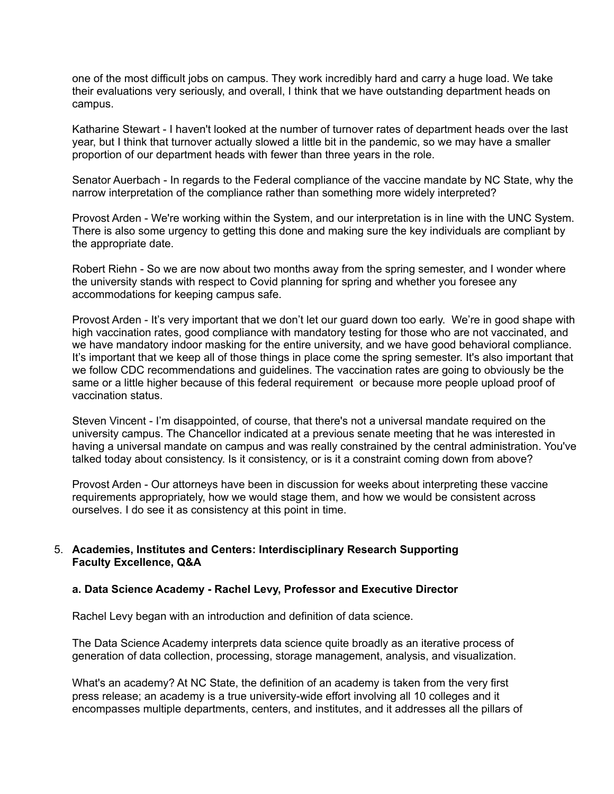one of the most difficult jobs on campus. They work incredibly hard and carry a huge load. We take their evaluations very seriously, and overall, I think that we have outstanding department heads on campus.

Katharine Stewart - I haven't looked at the number of turnover rates of department heads over the last year, but I think that turnover actually slowed a little bit in the pandemic, so we may have a smaller proportion of our department heads with fewer than three years in the role.

Senator Auerbach - In regards to the Federal compliance of the vaccine mandate by NC State, why the narrow interpretation of the compliance rather than something more widely interpreted?

Provost Arden - We're working within the System, and our interpretation is in line with the UNC System. There is also some urgency to getting this done and making sure the key individuals are compliant by the appropriate date.

Robert Riehn - So we are now about two months away from the spring semester, and I wonder where the university stands with respect to Covid planning for spring and whether you foresee any accommodations for keeping campus safe.

Provost Arden - It's very important that we don't let our guard down too early. We're in good shape with high vaccination rates, good compliance with mandatory testing for those who are not vaccinated, and we have mandatory indoor masking for the entire university, and we have good behavioral compliance. It's important that we keep all of those things in place come the spring semester. It's also important that we follow CDC recommendations and guidelines. The vaccination rates are going to obviously be the same or a little higher because of this federal requirement or because more people upload proof of vaccination status.

Steven Vincent - I'm disappointed, of course, that there's not a universal mandate required on the university campus. The Chancellor indicated at a previous senate meeting that he was interested in having a universal mandate on campus and was really constrained by the central administration. You've talked today about consistency. Is it consistency, or is it a constraint coming down from above?

Provost Arden - Our attorneys have been in discussion for weeks about interpreting these vaccine requirements appropriately, how we would stage them, and how we would be consistent across ourselves. I do see it as consistency at this point in time.

#### 5. **Academies, Institutes and Centers: Interdisciplinary Research Supporting Faculty Excellence, Q&A**

## **a. Data Science Academy - Rachel Levy, Professor and Executive Director**

Rachel Levy began with an introduction and definition of data science.

The Data Science Academy interprets data science quite broadly as an iterative process of generation of data collection, processing, storage management, analysis, and visualization.

What's an academy? At NC State, the definition of an academy is taken from the very first press release; an academy is a true university-wide effort involving all 10 colleges and it encompasses multiple departments, centers, and institutes, and it addresses all the pillars of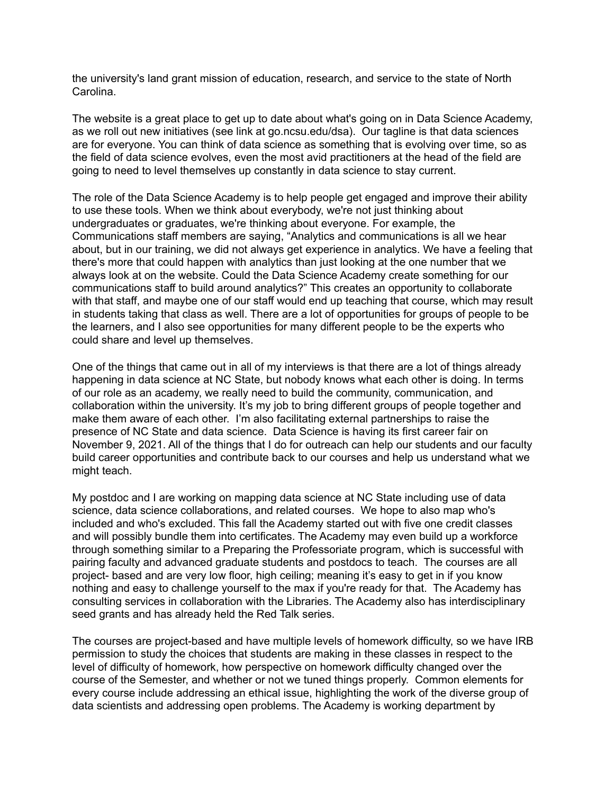the university's land grant mission of education, research, and service to the state of North Carolina.

The website is a great place to get up to date about what's going on in Data Science Academy, as we roll out new initiatives (see link at go.ncsu.edu/dsa). Our tagline is that data sciences are for everyone. You can think of data science as something that is evolving over time, so as the field of data science evolves, even the most avid practitioners at the head of the field are going to need to level themselves up constantly in data science to stay current.

The role of the Data Science Academy is to help people get engaged and improve their ability to use these tools. When we think about everybody, we're not just thinking about undergraduates or graduates, we're thinking about everyone. For example, the Communications staff members are saying, "Analytics and communications is all we hear about, but in our training, we did not always get experience in analytics. We have a feeling that there's more that could happen with analytics than just looking at the one number that we always look at on the website. Could the Data Science Academy create something for our communications staff to build around analytics?" This creates an opportunity to collaborate with that staff, and maybe one of our staff would end up teaching that course, which may result in students taking that class as well. There are a lot of opportunities for groups of people to be the learners, and I also see opportunities for many different people to be the experts who could share and level up themselves.

One of the things that came out in all of my interviews is that there are a lot of things already happening in data science at NC State, but nobody knows what each other is doing. In terms of our role as an academy, we really need to build the community, communication, and collaboration within the university. It's my job to bring different groups of people together and make them aware of each other. I'm also facilitating external partnerships to raise the presence of NC State and data science. Data Science is having its first career fair on November 9, 2021. All of the things that I do for outreach can help our students and our faculty build career opportunities and contribute back to our courses and help us understand what we might teach.

My postdoc and I are working on mapping data science at NC State including use of data science, data science collaborations, and related courses. We hope to also map who's included and who's excluded. This fall the Academy started out with five one credit classes and will possibly bundle them into certificates. The Academy may even build up a workforce through something similar to a Preparing the Professoriate program, which is successful with pairing faculty and advanced graduate students and postdocs to teach. The courses are all project- based and are very low floor, high ceiling; meaning it's easy to get in if you know nothing and easy to challenge yourself to the max if you're ready for that. The Academy has consulting services in collaboration with the Libraries. The Academy also has interdisciplinary seed grants and has already held the Red Talk series.

The courses are project-based and have multiple levels of homework difficulty, so we have IRB permission to study the choices that students are making in these classes in respect to the level of difficulty of homework, how perspective on homework difficulty changed over the course of the Semester, and whether or not we tuned things properly. Common elements for every course include addressing an ethical issue, highlighting the work of the diverse group of data scientists and addressing open problems. The Academy is working department by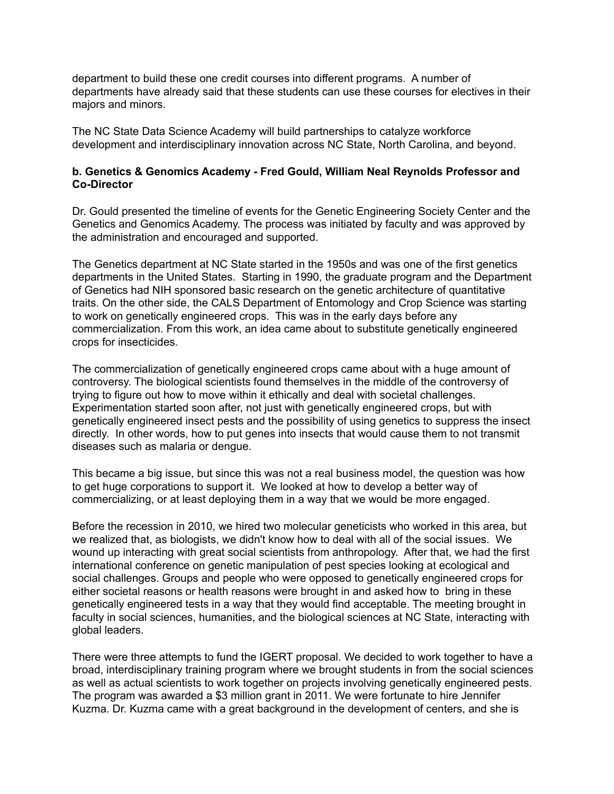department to build these one credit courses into different programs. A number of departments have already said that these students can use these courses for electives in their majors and minors.

The NC State Data Science Academy will build partnerships to catalyze workforce development and interdisciplinary innovation across NC State, North Carolina, and beyond.

### **b. Genetics & Genomics Academy - Fred Gould, William Neal Reynolds Professor and Co-Director**

Dr. Gould presented the timeline of events for the Genetic Engineering Society Center and the Genetics and Genomics Academy. The process was initiated by faculty and was approved by the administration and encouraged and supported.

The Genetics department at NC State started in the 1950s and was one of the first genetics departments in the United States. Starting in 1990, the graduate program and the Department of Genetics had NIH sponsored basic research on the genetic architecture of quantitative traits. On the other side, the CALS Department of Entomology and Crop Science was starting to work on genetically engineered crops. This was in the early days before any commercialization. From this work, an idea came about to substitute genetically engineered crops for insecticides.

The commercialization of genetically engineered crops came about with a huge amount of controversy. The biological scientists found themselves in the middle of the controversy of trying to figure out how to move within it ethically and deal with societal challenges. Experimentation started soon after, not just with genetically engineered crops, but with genetically engineered insect pests and the possibility of using genetics to suppress the insect directly. In other words, how to put genes into insects that would cause them to not transmit diseases such as malaria or dengue.

This became a big issue, but since this was not a real business model, the question was how to get huge corporations to support it. We looked at how to develop a better way of commercializing, or at least deploying them in a way that we would be more engaged.

Before the recession in 2010, we hired two molecular geneticists who worked in this area, but we realized that, as biologists, we didn't know how to deal with all of the social issues. We wound up interacting with great social scientists from anthropology. After that, we had the first international conference on genetic manipulation of pest species looking at ecological and social challenges. Groups and people who were opposed to genetically engineered crops for either societal reasons or health reasons were brought in and asked how to bring in these genetically engineered tests in a way that they would find acceptable. The meeting brought in faculty in social sciences, humanities, and the biological sciences at NC State, interacting with global leaders.

There were three attempts to fund the IGERT proposal. We decided to work together to have a broad, interdisciplinary training program where we brought students in from the social sciences as well as actual scientists to work together on projects involving genetically engineered pests. The program was awarded a \$3 million grant in 2011. We were fortunate to hire Jennifer Kuzma. Dr. Kuzma came with a great background in the development of centers, and she is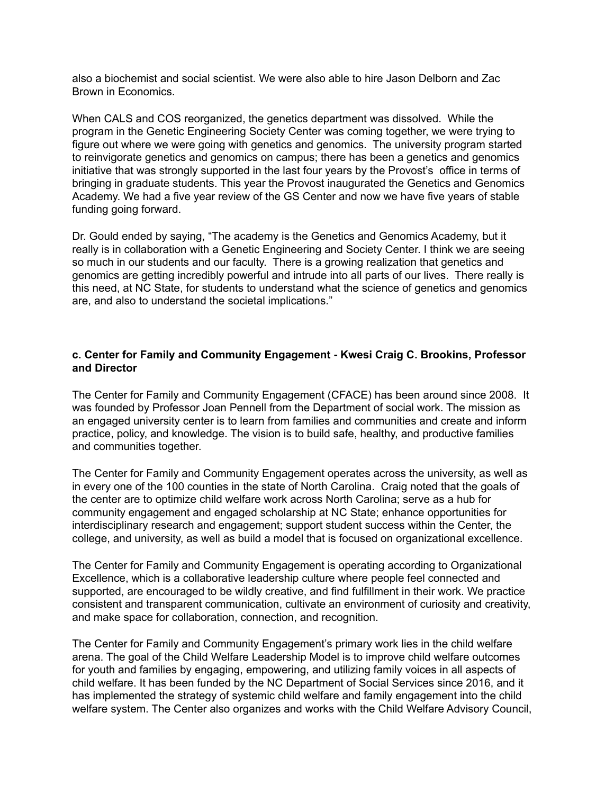also a biochemist and social scientist. We were also able to hire Jason Delborn and Zac Brown in Economics.

When CALS and COS reorganized, the genetics department was dissolved. While the program in the Genetic Engineering Society Center was coming together, we were trying to figure out where we were going with genetics and genomics. The university program started to reinvigorate genetics and genomics on campus; there has been a genetics and genomics initiative that was strongly supported in the last four years by the Provost's office in terms of bringing in graduate students. This year the Provost inaugurated the Genetics and Genomics Academy. We had a five year review of the GS Center and now we have five years of stable funding going forward.

Dr. Gould ended by saying, "The academy is the Genetics and Genomics Academy, but it really is in collaboration with a Genetic Engineering and Society Center. I think we are seeing so much in our students and our faculty. There is a growing realization that genetics and genomics are getting incredibly powerful and intrude into all parts of our lives. There really is this need, at NC State, for students to understand what the science of genetics and genomics are, and also to understand the societal implications."

### **c. Center for Family and Community Engagement - Kwesi Craig C. Brookins, Professor and Director**

The Center for Family and Community Engagement (CFACE) has been around since 2008. It was founded by Professor Joan Pennell from the Department of social work. The mission as an engaged university center is to learn from families and communities and create and inform practice, policy, and knowledge. The vision is to build safe, healthy, and productive families and communities together.

The Center for Family and Community Engagement operates across the university, as well as in every one of the 100 counties in the state of North Carolina. Craig noted that the goals of the center are to optimize child welfare work across North Carolina; serve as a hub for community engagement and engaged scholarship at NC State; enhance opportunities for interdisciplinary research and engagement; support student success within the Center, the college, and university, as well as build a model that is focused on organizational excellence.

The Center for Family and Community Engagement is operating according to Organizational Excellence, which is a collaborative leadership culture where people feel connected and supported, are encouraged to be wildly creative, and find fulfillment in their work. We practice consistent and transparent communication, cultivate an environment of curiosity and creativity, and make space for collaboration, connection, and recognition.

The Center for Family and Community Engagement's primary work lies in the child welfare arena. The goal of the Child Welfare Leadership Model is to improve child welfare outcomes for youth and families by engaging, empowering, and utilizing family voices in all aspects of child welfare. It has been funded by the NC Department of Social Services since 2016, and it has implemented the strategy of systemic child welfare and family engagement into the child welfare system. The Center also organizes and works with the Child Welfare Advisory Council,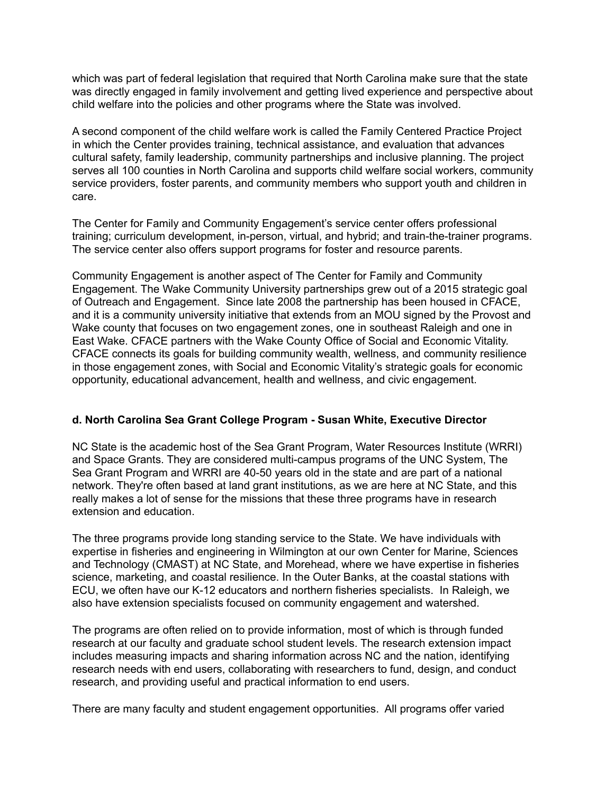which was part of federal legislation that required that North Carolina make sure that the state was directly engaged in family involvement and getting lived experience and perspective about child welfare into the policies and other programs where the State was involved.

A second component of the child welfare work is called the Family Centered Practice Project in which the Center provides training, technical assistance, and evaluation that advances cultural safety, family leadership, community partnerships and inclusive planning. The project serves all 100 counties in North Carolina and supports child welfare social workers, community service providers, foster parents, and community members who support youth and children in care.

The Center for Family and Community Engagement's service center offers professional training; curriculum development, in-person, virtual, and hybrid; and train-the-trainer programs. The service center also offers support programs for foster and resource parents.

Community Engagement is another aspect of The Center for Family and Community Engagement. The Wake Community University partnerships grew out of a 2015 strategic goal of Outreach and Engagement. Since late 2008 the partnership has been housed in CFACE, and it is a community university initiative that extends from an MOU signed by the Provost and Wake county that focuses on two engagement zones, one in southeast Raleigh and one in East Wake. CFACE partners with the Wake County Office of Social and Economic Vitality. CFACE connects its goals for building community wealth, wellness, and community resilience in those engagement zones, with Social and Economic Vitality's strategic goals for economic opportunity, educational advancement, health and wellness, and civic engagement.

## **d. North Carolina Sea Grant College Program - Susan White, Executive Director**

NC State is the academic host of the Sea Grant Program, Water Resources Institute (WRRI) and Space Grants. They are considered multi-campus programs of the UNC System, The Sea Grant Program and WRRI are 40-50 years old in the state and are part of a national network. They're often based at land grant institutions, as we are here at NC State, and this really makes a lot of sense for the missions that these three programs have in research extension and education.

The three programs provide long standing service to the State. We have individuals with expertise in fisheries and engineering in Wilmington at our own Center for Marine, Sciences and Technology (CMAST) at NC State, and Morehead, where we have expertise in fisheries science, marketing, and coastal resilience. In the Outer Banks, at the coastal stations with ECU, we often have our K-12 educators and northern fisheries specialists. In Raleigh, we also have extension specialists focused on community engagement and watershed.

The programs are often relied on to provide information, most of which is through funded research at our faculty and graduate school student levels. The research extension impact includes measuring impacts and sharing information across NC and the nation, identifying research needs with end users, collaborating with researchers to fund, design, and conduct research, and providing useful and practical information to end users.

There are many faculty and student engagement opportunities. All programs offer varied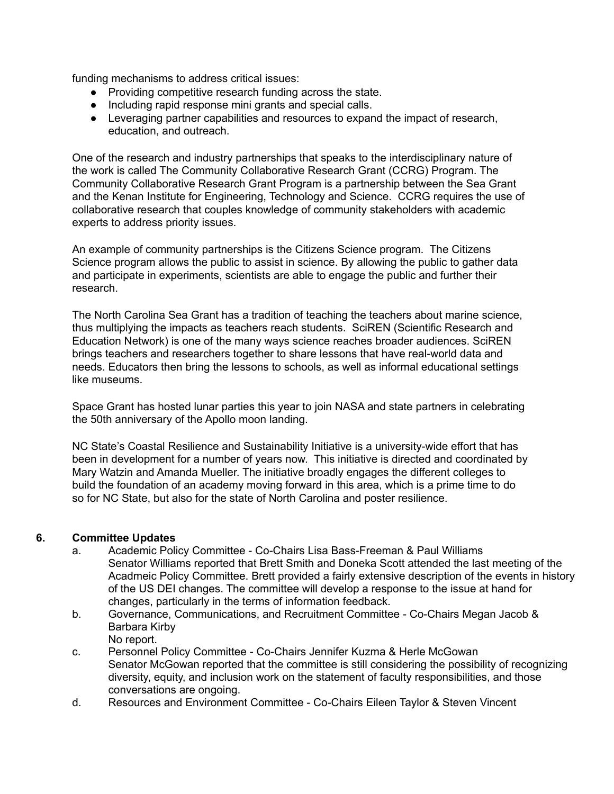funding mechanisms to address critical issues:

- Providing competitive research funding across the state.
- Including rapid response mini grants and special calls.
- Leveraging partner capabilities and resources to expand the impact of research, education, and outreach.

One of the research and industry partnerships that speaks to the interdisciplinary nature of the work is called The Community Collaborative Research Grant (CCRG) Program. The Community Collaborative Research Grant Program is a partnership between the Sea Grant and the Kenan Institute for Engineering, Technology and Science. CCRG requires the use of collaborative research that couples knowledge of community stakeholders with academic experts to address priority issues.

An example of community partnerships is the Citizens Science program. The Citizens Science program allows the public to assist in science. By allowing the public to gather data and participate in experiments, scientists are able to engage the public and further their research.

The North Carolina Sea Grant has a tradition of teaching the teachers about marine science, thus multiplying the impacts as teachers reach students. SciREN (Scientific Research and Education Network) is one of the many ways science reaches broader audiences. SciREN brings teachers and researchers together to share lessons that have real-world data and needs. Educators then bring the lessons to schools, as well as informal educational settings like museums.

Space Grant has hosted lunar parties this year to join NASA and state partners in celebrating the 50th anniversary of the Apollo moon landing.

NC State's Coastal Resilience and Sustainability Initiative is a university-wide effort that has been in development for a number of years now. This initiative is directed and coordinated by Mary Watzin and Amanda Mueller. The initiative broadly engages the different colleges to build the foundation of an academy moving forward in this area, which is a prime time to do so for NC State, but also for the state of North Carolina and poster resilience.

## **6. Committee Updates**

- a. Academic Policy Committee Co-Chairs Lisa Bass-Freeman & Paul Williams Senator Williams reported that Brett Smith and Doneka Scott attended the last meeting of the Acadmeic Policy Committee. Brett provided a fairly extensive description of the events in history of the US DEI changes. The committee will develop a response to the issue at hand for changes, particularly in the terms of information feedback.
- b. Governance, Communications, and Recruitment Committee Co-Chairs Megan Jacob & Barbara Kirby No report.
- c. Personnel Policy Committee Co-Chairs Jennifer Kuzma & Herle McGowan Senator McGowan reported that the committee is still considering the possibility of recognizing diversity, equity, and inclusion work on the statement of faculty responsibilities, and those conversations are ongoing.
- d. Resources and Environment Committee Co-Chairs Eileen Taylor & Steven Vincent